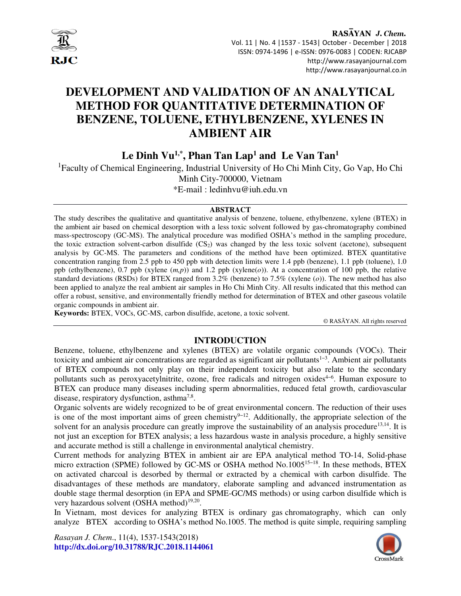

RASAYAN J. Chem. Vol. 11 | No. 4 |1537 - 1543| October - December | 2018 ISSN: 0974-1496 | e-ISSN: 0976-0083 | CODEN: RJCABP http://www.rasayanjournal.com http://www.rasayanjournal.co.in

# **DEVELOPMENT AND VALIDATION OF AN ANALYTICAL METHOD FOR QUANTITATIVE DETERMINATION OF BENZENE, TOLUENE, ETHYLBENZENE, XYLENES IN AMBIENT AIR**

**Le Dinh Vu1,\*, Phan Tan Lap<sup>1</sup> and Le Van Tan<sup>1</sup>**

<sup>1</sup>Faculty of Chemical Engineering, Industrial University of Ho Chi Minh City, Go Vap, Ho Chi Minh City-700000, Vietnam \*E-mail : ledinhvu@iuh.edu.vn

#### **ABSTRACT**

The study describes the qualitative and quantitative analysis of benzene, toluene, ethylbenzene, xylene (BTEX) in the ambient air based on chemical desorption with a less toxic solvent followed by gas-chromatography combined mass-spectroscopy (GC-MS). The analytical procedure was modified OSHA's method in the sampling procedure, the toxic extraction solvent-carbon disulfide  $(CS_2)$  was changed by the less toxic solvent (acetone), subsequent analysis by GC-MS. The parameters and conditions of the method have been optimized. BTEX quantitative concentration ranging from 2.5 ppb to 450 ppb with detection limits were 1.4 ppb (benzene), 1.1 ppb (toluene), 1.0 ppb (ethylbenzene), 0.7 ppb (xylene (*m,p*)) and 1.2 ppb (xylene(*o*)). At a concentration of 100 ppb, the relative standard deviations (RSDs) for BTEX ranged from 3.2% (benzene) to 7.5% (xylene (*o*)). The new method has also been applied to analyze the real ambient air samples in Ho Chi Minh City. All results indicated that this method can offer a robust, sensitive, and environmentally friendly method for determination of BTEX and other gaseous volatile organic compounds in ambient air.

**Keywords:** BTEX, VOCs, GC-MS, carbon disulfide, acetone, a toxic solvent.

© RASĀYAN. All rights reserved

# **INTRODUCTION**

Benzene, toluene, ethylbenzene and xylenes (BTEX) are volatile organic compounds (VOCs). Their toxicity and ambient air concentrations are regarded as significant air pollutants1−3. Ambient air pollutants of BTEX compounds not only play on their independent toxicity but also relate to the secondary pollutants such as peroxyacetylnitrite, ozone, free radicals and nitrogen oxides<sup>4−6</sup>. Human exposure to BTEX can produce many diseases including sperm abnormalities, reduced fetal growth, cardiovascular disease, respiratory dysfunction, asthma<sup>7,8</sup>.

Organic solvents are widely recognized to be of great environmental concern. The reduction of their uses is one of the most important aims of green chemistry<sup>9-12</sup>. Additionally, the appropriate selection of the solvent for an analysis procedure can greatly improve the sustainability of an analysis procedure<sup>13,14</sup>. It is not just an exception for BTEX analysis; a less hazardous waste in analysis procedure, a highly sensitive and accurate method is still a challenge in environmental analytical chemistry.

Current methods for analyzing BTEX in ambient air are EPA analytical method TO-14, Solid-phase micro extraction (SPME) followed by GC-MS or OSHA method No.1005<sup>15–18</sup>. In these methods, BTEX on activated charcoal is desorbed by thermal or extracted by a chemical with carbon disulfide. The disadvantages of these methods are mandatory, elaborate sampling and advanced instrumentation as double stage thermal desorption (in EPA and SPME-GC/MS methods) or using carbon disulfide which is very hazardous solvent (OSHA method)<sup>19,20</sup>.

In Vietnam, most devices for analyzing BTEX is ordinary gas chromatography, which can only analyze BTEX according to OSHA's method No.1005. The method is quite simple, requiring sampling

*Rasayan J. Chem*., 11(4), 1537-1543(2018) **http://dx.doi.org/10.31788/RJC.2018.1144061**

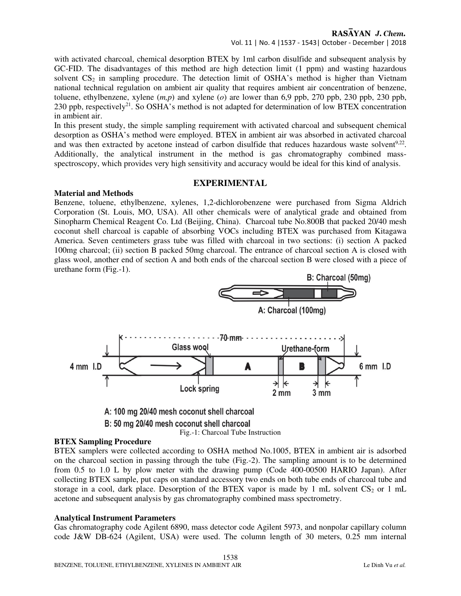# RASAYAN J. Chem.

Vol. 11 | No. 4 |1537 - 1543| October - December | 2018

with activated charcoal, chemical desorption BTEX by 1ml carbon disulfide and subsequent analysis by GC-FID. The disadvantages of this method are high detection limit (1 ppm) and wasting hazardous solvent  $CS_2$  in sampling procedure. The detection limit of OSHA's method is higher than Vietnam national technical regulation on ambient air quality that requires ambient air concentration of benzene, toluene, ethylbenzene, xylene (*m,p*) and xylene (*o*) are lower than 6,9 ppb, 270 ppb, 230 ppb, 230 ppb, 230 ppb, respectively<sup>21</sup>. So OSHA's method is not adapted for determination of low BTEX concentration in ambient air.

In this present study, the simple sampling requirement with activated charcoal and subsequent chemical desorption as OSHA's method were employed. BTEX in ambient air was absorbed in activated charcoal and was then extracted by acetone instead of carbon disulfide that reduces hazardous waste solvent $9.22$ . Additionally, the analytical instrument in the method is gas chromatography combined massspectroscopy, which provides very high sensitivity and accuracy would be ideal for this kind of analysis.

## **EXPERIMENTAL**

## **Material and Methods**

Benzene, toluene, ethylbenzene, xylenes, 1,2-dichlorobenzene were purchased from Sigma Aldrich Corporation (St. Louis, MO, USA). All other chemicals were of analytical grade and obtained from Sinopharm Chemical Reagent Co. Ltd (Beijing, China). Charcoal tube No.800B that packed 20/40 mesh coconut shell charcoal is capable of absorbing VOCs including BTEX was purchased from Kitagawa America. Seven centimeters grass tube was filled with charcoal in two sections: (i) section A packed 100mg charcoal; (ii) section B packed 50mg charcoal. The entrance of charcoal section A is closed with glass wool, another end of section A and both ends of the charcoal section B were closed with a piece of urethane form (Fig.-1).



#### **BTEX Sampling Procedure**

BTEX samplers were collected according to OSHA method No.1005, BTEX in ambient air is adsorbed on the charcoal section in passing through the tube (Fig.-2). The sampling amount is to be determined from 0.5 to 1.0 L by plow meter with the drawing pump (Code 400-00500 HARIO Japan). After collecting BTEX sample, put caps on standard accessory two ends on both tube ends of charcoal tube and storage in a cool, dark place. Desorption of the BTEX vapor is made by 1 mL solvent  $CS_2$  or 1 mL acetone and subsequent analysis by gas chromatography combined mass spectrometry.

#### **Analytical Instrument Parameters**

Gas chromatography code Agilent 6890, mass detector code Agilent 5973, and nonpolar capillary column code J&W DB-624 (Agilent, USA) were used. The column length of 30 meters, 0.25 mm internal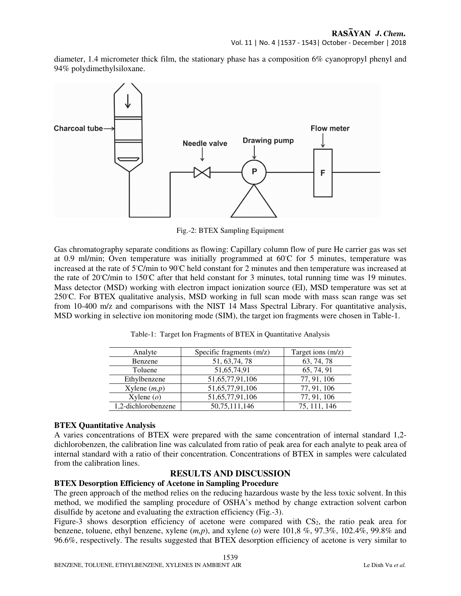diameter, 1.4 micrometer thick film, the stationary phase has a composition 6% cyanopropyl phenyl and 94% polydimethylsiloxane.



Fig.-2: BTEX Sampling Equipment

Gas chromatography separate conditions as flowing: Capillary column flow of pure He carrier gas was set at 0.9 ml/min; Oven temperature was initially programmed at 60◦C for 5 minutes, temperature was increased at the rate of 5◦C/min to 90◦C held constant for 2 minutes and then temperature was increased at the rate of 20℃/min to 150℃ after that held constant for 3 minutes, total running time was 19 minutes. Mass detector (MSD) working with electron impact ionization source (EI), MSD temperature was set at 250◦C. For BTEX qualitative analysis, MSD working in full scan mode with mass scan range was set from 10-400 m/z and comparisons with the NIST 14 Mass Spectral Library. For quantitative analysis, MSD working in selective ion monitoring mode (SIM), the target ion fragments were chosen in Table-1.

| Analyte             | Specific fragments $(m/z)$ | Target ions $(m/z)$ |  |
|---------------------|----------------------------|---------------------|--|
| Benzene             | 51, 63, 74, 78             | 63, 74, 78          |  |
| Toluene             | 51,65,74,91                | 65, 74, 91          |  |
| Ethylbenzene        | 51,65,77,91,106            | 77, 91, 106         |  |
| Xylene $(m,p)$      | 51,65,77,91,106            | 77, 91, 106         |  |
| $X$ ylene $(o)$     | 51,65,77,91,106            | 77, 91, 106         |  |
| 1,2-dichlorobenzene | 50,75,111,146              | 75, 111, 146        |  |

Table-1: Target Ion Fragments of BTEX in Quantitative Analysis

## **BTEX Quantitative Analysis**

A varies concentrations of BTEX were prepared with the same concentration of internal standard 1,2 dichlorobenzen, the calibration line was calculated from ratio of peak area for each analyte to peak area of internal standard with a ratio of their concentration. Concentrations of BTEX in samples were calculated from the calibration lines.

# **RESULTS AND DISCUSSION**

## **BTEX Desorption Efficiency of Acetone in Sampling Procedure**

The green approach of the method relies on the reducing hazardous waste by the less toxic solvent. In this method, we modified the sampling procedure of OSHA's method by change extraction solvent carbon disulfide by acetone and evaluating the extraction efficiency (Fig.-3).

Figure-3 shows desorption efficiency of acetone were compared with  $CS_2$ , the ratio peak area for benzene, toluene, ethyl benzene, xylene (*m,p*), and xylene (*o*) were 101,8 %, 97.3%, 102.4%, 99.8% and 96.6%, respectively. The results suggested that BTEX desorption efficiency of acetone is very similar to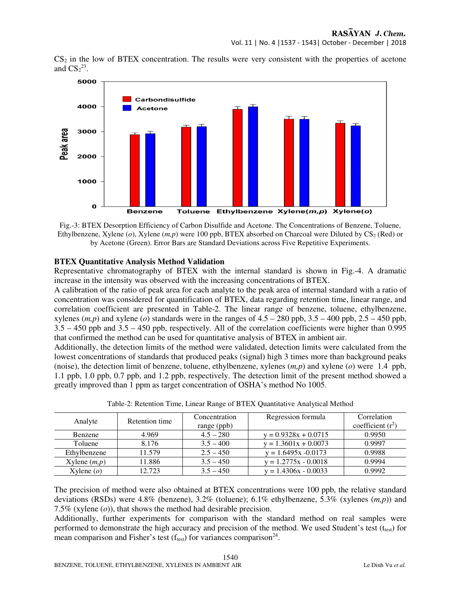Vol. 11 | No. 4 |1537 - 1543| October - December | 2018

 $CS<sub>2</sub>$  in the low of BTEX concentration. The results were very consistent with the properties of acetone and  $CS<sub>2</sub><sup>23</sup>$ .



Fig.-3: BTEX Desorption Efficiency of Carbon Disulfide and Acetone. The Concentrations of Benzene, Toluene, Ethylbenzene, Xylene ( $o$ ), Xylene ( $m, p$ ) were 100 ppb, BTEX absorbed on Charcoal were Diluted by  $CS_2$  (Red) or by Acetone (Green). Error Bars are Standard Deviations across Five Repetitive Experiments.

## **BTEX Quantitative Analysis Method Validation**

Representative chromatography of BTEX with the internal standard is shown in Fig.-4. A dramatic increase in the intensity was observed with the increasing concentrations of BTEX.

A calibration of the ratio of peak area for each analyte to the peak area of internal standard with a ratio of concentration was considered for quantification of BTEX, data regarding retention time, linear range, and correlation coefficient are presented in Table-2. The linear range of benzene, toluene, ethylbenzene, xylenes  $(m, p)$  and xylene (*o*) standards were in the ranges of  $4.5 - 280$  ppb,  $3.5 - 400$  ppb,  $2.5 - 450$  ppb, 3.5 – 450 ppb and 3.5 – 450 ppb, respectively. All of the correlation coefficients were higher than 0.995 that confirmed the method can be used for quantitative analysis of BTEX in ambient air.

Additionally, the detection limits of the method were validated, detection limits were calculated from the lowest concentrations of standards that produced peaks (signal) high 3 times more than background peaks (noise), the detection limit of benzene, toluene, ethylbenzene, xylenes (*m,p*) and xylene (*o*) were 1.4 ppb, 1.1 ppb, 1.0 ppb, 0.7 ppb, and 1.2 ppb, respectively. The detection limit of the present method showed a greatly improved than 1 ppm as target concentration of OSHA's method No 1005.

| Analyte           | Retention time | Concentration<br>range (ppb) | Regression formula     | Correlation<br>coefficient $(r^2)$ |
|-------------------|----------------|------------------------------|------------------------|------------------------------------|
| Benzene           | 4.969          | $4.5 - 280$                  | $y = 0.9328x + 0.0715$ | 0.9950                             |
| Toluene           | 8.176          | $3.5 - 400$                  | $y = 1.3601x + 0.0073$ | 0.9997                             |
| Ethylbenzene      | 11.579         | $2.5 - 450$                  | $y = 1.6495x - 0.0173$ | 0.9988                             |
| $X$ ylene $(m,p)$ | 11.886         | $3.5 - 450$                  | $y = 1.2775x - 0.0018$ | 0.9994                             |
| Xylene $(o)$      | 12.723         | $3.5 - 450$                  | $v = 1.4306x - 0.0033$ | 0.9992                             |

Table-2: Retention Time, Linear Range of BTEX Quantitative Analytical Method

The precision of method were also obtained at BTEX concentrations were 100 ppb, the relative standard deviations (RSDs) were 4.8% (benzene), 3.2% (toluene); 6.1% ethylbenzene, 5.3% (xylenes (*m,p*)) and 7.5% (xylene (*o*)), that shows the method had desirable precision.

Additionally, further experiments for comparison with the standard method on real samples were performed to demonstrate the high accuracy and precision of the method. We used Student's test ( $t_{test}$ ) for mean comparison and Fisher's test  $(f_{test})$  for variances comparison<sup>24</sup>.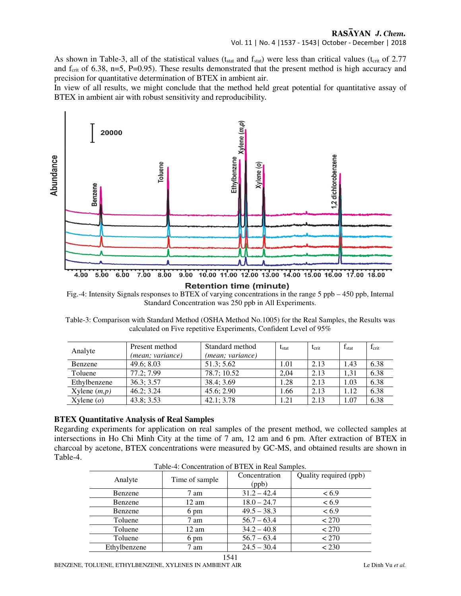## RASAYAN J. Chem.

As shown in Table-3, all of the statistical values ( $t_{stat}$  and  $f_{stat}$ ) were less than critical values ( $t_{crit}$  of 2.77 and  $f_{\text{crit}}$  of 6.38, n=5, P=0.95). These results demonstrated that the present method is high accuracy and precision for quantitative determination of BTEX in ambient air.

In view of all results, we might conclude that the method held great potential for quantitative assay of BTEX in ambient air with robust sensitivity and reproducibility.



**Retention time (minute)** 

Fig.-4: Intensity Signals responses to BTEX of varying concentrations in the range 5 ppb – 450 ppb, Internal Standard Concentration was 250 ppb in All Experiments.

Table-3: Comparison with Standard Method (OSHA Method No.1005) for the Real Samples, the Results was calculated on Five repetitive Experiments, Confident Level of 95%

| Analyte        | Present method   | Standard method  | $t_{\rm stat}$ | $t_{\rm crit}$ | I <sub>stat</sub> | $f_{\text{crit}}$ |
|----------------|------------------|------------------|----------------|----------------|-------------------|-------------------|
|                | (mean; variance) | (mean; variance) |                |                |                   |                   |
| Benzene        | 49.6; 8.03       | 51.3; 5.62       | 1.01           | 2.13           | 1.43              | 6.38              |
| Toluene        | 77.2: 7.99       | 78.7; 10.52      | 2.04           | 2.13           | 1.31              | 6.38              |
| Ethylbenzene   | 36.3; 3.57       | 38.4; 3.69       | 1.28           | 2.13           | 1.03              | 6.38              |
| Xylene $(m,p)$ | 46.2; 3.24       | 45.6; 2.90       | 1.66           | 2.13           | 1.12              | 6.38              |
| Xylene $(o)$   | 43.8; 3.53       | 42.1; 3.78       | 1.21           | 2.13           | 1.07              | 6.38              |

#### **BTEX Quantitative Analysis of Real Samples**

Regarding experiments for application on real samples of the present method, we collected samples at intersections in Ho Chi Minh City at the time of 7 am, 12 am and 6 pm. After extraction of BTEX in charcoal by acetone, BTEX concentrations were measured by GC-MS, and obtained results are shown in Table-4.

| Table-4: Concentration of $B$ LEA in Real Samples. |                |                        |                        |  |  |
|----------------------------------------------------|----------------|------------------------|------------------------|--|--|
| Analyte                                            | Time of sample | Concentration<br>(ppb) | Quality required (ppb) |  |  |
| Benzene                                            | 7 am           | $31.2 - 42.4$          | < 6.9                  |  |  |
| Benzene                                            | 12 am          | $18.0 - 24.7$          | < 6.9                  |  |  |
| Benzene                                            | 6 pm           | $49.5 - 38.3$          | < 6.9                  |  |  |
| Toluene                                            | 7 am           | $56.7 - 63.4$          | < 270                  |  |  |
| Toluene                                            | 12 am          | $34.2 - 40.8$          | < 270                  |  |  |
| Toluene                                            | 6 pm           | $56.7 - 63.4$          | < 270                  |  |  |
| Ethylbenzene                                       | 7 am           | $24.5 - 30.4$          | < 230                  |  |  |

1541

Table-4: Concentration of BTEX in Real Samples.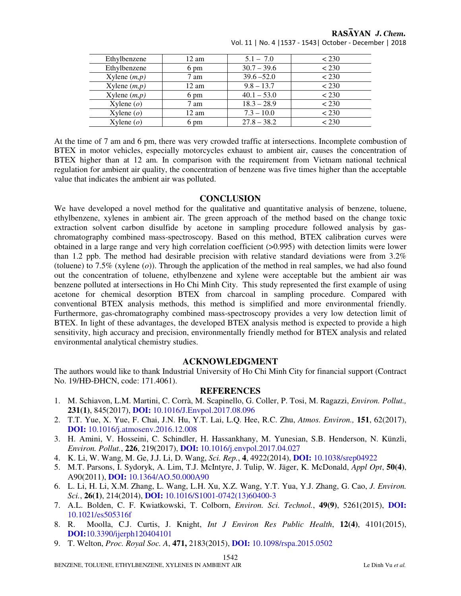| Ethylbenzene    | $12 \text{ am}$ | $5.1 - 7.0$   | < 230 |
|-----------------|-----------------|---------------|-------|
| Ethylbenzene    | 6 pm            | $30.7 - 39.6$ | < 230 |
| Xylene $(m,p)$  | 7 am            | $39.6 - 52.0$ | < 230 |
| Xylene $(m,p)$  | $12 \text{ am}$ | $9.8 - 13.7$  | < 230 |
| Xylene $(m,p)$  | 6 pm            | $40.1 - 53.0$ | < 230 |
| Xylene $(o)$    | 7 am            | $18.3 - 28.9$ | < 230 |
| $X$ ylene $(o)$ | 12 am           | $7.3 - 10.0$  | < 230 |
| $X$ ylene $(o)$ | 6 pm            | $27.8 - 38.2$ | < 230 |

RASAYAN J. Chem. Vol. 11 | No. 4 |1537 - 1543| October - December | 2018

At the time of 7 am and 6 pm, there was very crowded traffic at intersections. Incomplete combustion of BTEX in motor vehicles, especially motorcycles exhaust to ambient air, causes the concentration of BTEX higher than at 12 am. In comparison with the requirement from Vietnam national technical regulation for ambient air quality, the concentration of benzene was five times higher than the acceptable value that indicates the ambient air was polluted.

## **CONCLUSION**

We have developed a novel method for the qualitative and quantitative analysis of benzene, toluene, ethylbenzene, xylenes in ambient air. The green approach of the method based on the change toxic extraction solvent carbon disulfide by acetone in sampling procedure followed analysis by gaschromatography combined mass-spectroscopy. Based on this method, BTEX calibration curves were obtained in a large range and very high correlation coefficient (>0.995) with detection limits were lower than 1.2 ppb. The method had desirable precision with relative standard deviations were from 3.2% (toluene) to 7.5% (xylene (*o*)). Through the application of the method in real samples, we had also found out the concentration of toluene, ethylbenzene and xylene were acceptable but the ambient air was benzene polluted at intersections in Ho Chi Minh City. This study represented the first example of using acetone for chemical desorption BTEX from charcoal in sampling procedure. Compared with conventional BTEX analysis methods, this method is simplified and more environmental friendly. Furthermore, gas-chromatography combined mass-spectroscopy provides a very low detection limit of BTEX. In light of these advantages, the developed BTEX analysis method is expected to provide a high sensitivity, high accuracy and precision, environmentally friendly method for BTEX analysis and related environmental analytical chemistry studies.

#### **ACKNOWLEDGMENT**

The authors would like to thank Industrial University of Ho Chi Minh City for financial support (Contract No. 19/HĐ-ĐHCN, code: 171.4061).

## **REFERENCES**

- 1. M. Schiavon, L.M. Martini, C. Corrà, M. Scapinello, G. Coller, P. Tosi, M. Ragazzi, *Environ. Pollut.,*  **231(1)**, 845(2017), **DOI:** 10.1016/J.Envpol.2017.08.096
- 2. T.T. Yue, X. Yue, F. Chai, J.N. Hu, Y.T. Lai, L.Q. Hee, R.C. Zhu, *Atmos. Environ.,* **151**, 62(2017), **DOI:** 10.1016/j.atmosenv.2016.12.008
- 3. H. Amini, V. Hosseini, C. Schindler, H. Hassankhany, M. Yunesian, S.B. Henderson, N. Künzli, *Environ. Pollut.*, **226**, 219(2017), **DOI:** 10.1016/j.envpol.2017.04.027
- 4. K. Li, W. Wang, M. Ge, J.J. Li, D. Wang, *Sci. Rep.*, **4**, 4922(2014), **DOI:** 10.1038/srep04922
- 5. M.T. Parsons, I. Sydoryk, A. Lim, T.J. McIntyre, J. Tulip, W. Jäger, K. McDonald, *Appl Opt*, **50(4)**, A90(2011), **DOI:** 10.1364/AO.50.000A90
- 6. L. Li, H. Li, X.M. Zhang, L. Wang, L.H. Xu, X.Z. Wang, Y.T. Yua, Y.J. Zhang, G. Cao, *J. Environ. Sci.*, **26(1)**, 214(2014), **DOI:** 10.1016/S1001-0742(13)60400-3
- 7. A.L. Bolden, C. F. Kwiatkowski, T. Colborn, *Environ. Sci. Technol.*, **49(9)**, 5261(2015), **DOI:** 10.1021/es505316f
- 8. R. Moolla, C.J. Curtis, J. Knight, *Int J Environ Res Public Health*, **12(4)**, 4101(2015), **DOI:**10.3390/ijerph120404101
- 9. T. Welton, *Proc. Royal Soc. A*, **471,** 2183(2015), **DOI:** 10.1098/rspa.2015.0502